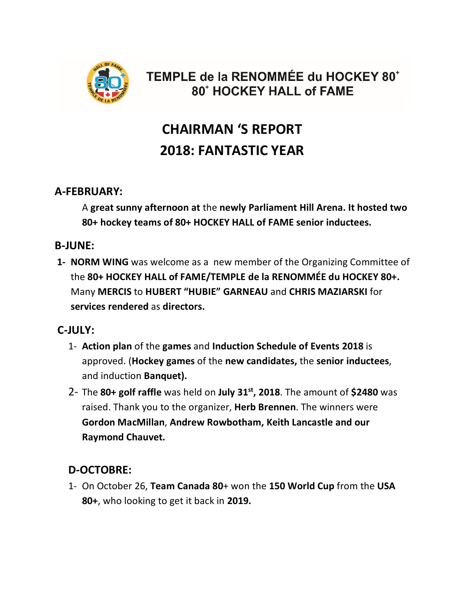

# TEMPLE de la RENOMMÉE du HOCKEY 80<sup>+</sup> **80<sup>\*</sup> HOCKEY HALL of FAME**

# **CHAIRMAN 'S REPORT 2018: FANTASTIC YEAR**

#### **A-FEBRUARY:**

A **great sunny afternoon at** the **newly Parliament Hill Arena. It hosted two 80+ hockey teams of 80+ HOCKEY HALL of FAME senior inductees.**

### **B-JUNE:**

**1- NORM WING** was welcome as a new member of the Organizing Committee of the **80+ HOCKEY HALL of FAME/TEMPLE de la RENOMMÉE du HOCKEY 80+.** Many **MERCIS** to **HUBERT "HUBIE" GARNEAU** and **CHRIS MAZIARSKI** for **services rendered** as **directors.** 

### **C-JULY:**

- 1- **Action plan** of the **games** and **Induction Schedule of Events 2018** is approved. (**Hockey games** of the **new candidates,** the **senior inductees**, and induction **Banquet).**
- 2- The **80+ golf raffle** was held on **July 31st, 2018**. The amount of **\$2480** was raised. Thank you to the organizer, **Herb Brennen**. The winners were **Gordon MacMillan**, **Andrew Rowbotham, Keith Lancastle and our Raymond Chauvet.**

## **D-OCTOBRE:**

1- On October 26, **Team Canada 80**+ won the **150 World Cup** from the **USA 80+**, who looking to get it back in **2019.**